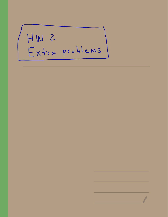HW 2<br>Extra problems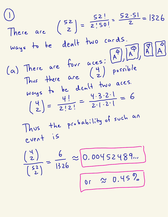There are 
$$
\begin{pmatrix} 5z \\ z \end{pmatrix} = \frac{52!}{2!50!} = \frac{52.51}{2} = 1326
$$

\nways the *dealt* two cards.

\n(a) There are four  $\begin{pmatrix} 4 \\ 2 \\ 2 \end{pmatrix}$  possible ways the *dealt* two aces.

\nways the *dealt* two aces.

\nways the *dealt* two aces.

\n(b)  $\begin{pmatrix} 4 \\ 2 \\ 2 \end{pmatrix}$  is a 100.

\nThus, the probability of such an event is  $\begin{pmatrix} 4 \\ 2 \\ 2 \end{pmatrix} = \frac{6}{1526} \approx 0.00452489...$ 

\n(c)  $\begin{pmatrix} 4 \\ 2 \\ 2 \end{pmatrix} = \frac{6}{1526} \approx 0.00452489...$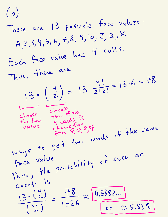## (b) There are 13 possible face values: A ,2 ,3, 4 ,5, 6 , .<br>7,8, 9, 10, J, Q K Each face value has <sup>4</sup> suits .  $\n **T**$ there are  $3 \cdot \left(\frac{4}{2}\right) = 13 \cdot \frac{4!}{2!2!}$  $= 13.6 = 78$ choose shoose the<br>the face two of the ie<br>value choose two app choose <sup>4</sup> cards, .<br>زو value choose two  $\epsilon$ hoore two qq Ways to get two P<br>cards of the same face value . Thus , the probability of such an event is  $\frac{13.(\frac{4}{2})}{(\frac{52}{2})}=\frac{78}{1326}\approx\frac{0.5882...}{00}$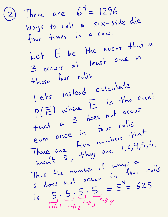(2) There are  $6^{4} = 1296$ Ways to roll <sup>a</sup> six - side die four times in a row.  $Let E be the event that a$ <br> 3 occurs at least once those four rolls. Lets instead calculate  $P(E)$  where  $E$  is the event  $+$ hat a <sup>3</sup> does not occur even once in four rolls . There are five numbers  $+$ hat  $m^2$  3,  $74.4$  are 1,2,4,  $\boldsymbol{\varsigma}$  ,  $\boldsymbol{\flat}$  . avent 3, "I ways a  $3$  does not occur four rolls  $\frac{1}{15}$  does not  $\frac{1}{5}$ .  $\frac{5}{15}$ .  $\frac{5}{15}$ .  $\frac{5}{15}$ .  $\frac{5}{15}$ .  $\frac{5}{15}$ .  $\frac{5}{15}$ .  $\frac{5}{15}$ .  $\frac{5}{15}$ .  $\frac{5}{15}$ .  $\frac{5}{15}$ .  $\frac{5}{15}$ .  $\frac{5}{15}$ .  $\frac{5}{15}$ .  $\frac{5}{15}$ .  $\frac{5}{15}$ .  $\frac{5}{15}$  $5.5.2.2 =$